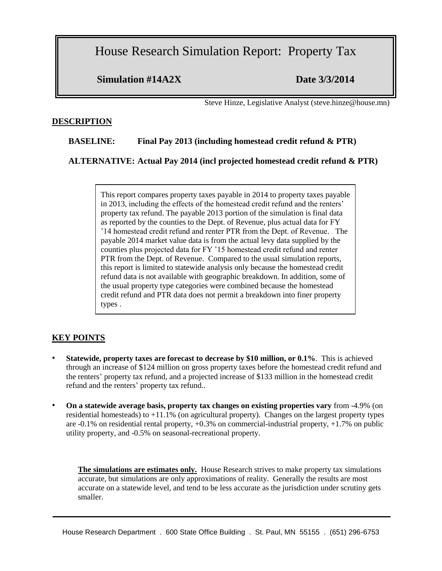House Research Simulation Report: Property Tax

**Simulation #14A2X Date 3/3/2014**

Steve Hinze, Legislative Analyst (steve.hinze@house.mn)

### **DESCRIPTION**

## **BASELINE: Final Pay 2013 (including homestead credit refund & PTR)**

**ALTERNATIVE: Actual Pay 2014 (incl projected homestead credit refund & PTR)** 

This report compares property taxes payable in 2014 to property taxes payable in 2013, including the effects of the homestead credit refund and the renters' property tax refund. The payable 2013 portion of the simulation is final data as reported by the counties to the Dept. of Revenue, plus actual data for FY '14 homestead credit refund and renter PTR from the Dept. of Revenue. The payable 2014 market value data is from the actual levy data supplied by the counties plus projected data for FY '15 homestead credit refund and renter PTR from the Dept. of Revenue. Compared to the usual simulation reports, this report is limited to statewide analysis only because the homestead credit refund data is not available with geographic breakdown. In addition, some of the usual property type categories were combined because the homestead credit refund and PTR data does not permit a breakdown into finer property types .

## **KEY POINTS**

- **Statewide, property taxes are forecast to decrease by \$10 million, or 0.1%**. This is achieved through an increase of \$124 million on gross property taxes before the homestead credit refund and the renters' property tax refund, and a projected increase of \$133 million in the homestead credit refund and the renters' property tax refund..
- **On a statewide average basis, property tax changes on existing properties vary** from -4.9% (on residential homesteads) to +11.1% (on agricultural property). Changes on the largest property types are -0.1% on residential rental property, +0.3% on commercial-industrial property, +1.7% on public utility property, and -0.5% on seasonal-recreational property.

**The simulations are estimates only.** House Research strives to make property tax simulations accurate, but simulations are only approximations of reality. Generally the results are most accurate on a statewide level, and tend to be less accurate as the jurisdiction under scrutiny gets smaller.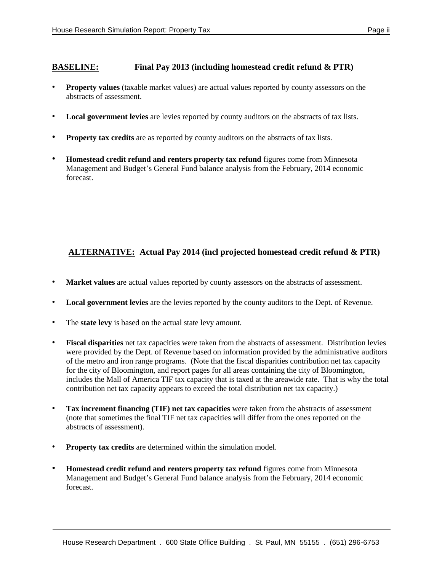## **BASELINE: Final Pay 2013 (including homestead credit refund & PTR)**

- **Property values** (taxable market values) are actual values reported by county assessors on the abstracts of assessment.
- **Local government levies** are levies reported by county auditors on the abstracts of tax lists.
- **Property tax credits** are as reported by county auditors on the abstracts of tax lists.
- **Homestead credit refund and renters property tax refund** figures come from Minnesota Management and Budget's General Fund balance analysis from the February, 2014 economic forecast.

# **ALTERNATIVE: Actual Pay 2014 (incl projected homestead credit refund & PTR)**

- **Market values** are actual values reported by county assessors on the abstracts of assessment.
- **Local government levies** are the levies reported by the county auditors to the Dept. of Revenue.
- The **state levy** is based on the actual state levy amount.
- **Fiscal disparities** net tax capacities were taken from the abstracts of assessment. Distribution levies were provided by the Dept. of Revenue based on information provided by the administrative auditors of the metro and iron range programs. (Note that the fiscal disparities contribution net tax capacity for the city of Bloomington, and report pages for all areas containing the city of Bloomington, includes the Mall of America TIF tax capacity that is taxed at the areawide rate. That is why the total contribution net tax capacity appears to exceed the total distribution net tax capacity.)
- **Tax increment financing (TIF) net tax capacities** were taken from the abstracts of assessment (note that sometimes the final TIF net tax capacities will differ from the ones reported on the abstracts of assessment).
- **Property tax credits** are determined within the simulation model.
- **Homestead credit refund and renters property tax refund** figures come from Minnesota Management and Budget's General Fund balance analysis from the February, 2014 economic forecast.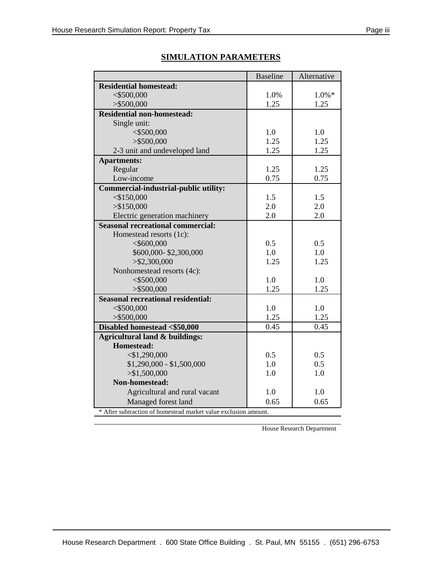|                                                                 | <b>Baseline</b> | Alternative |  |  |  |  |  |
|-----------------------------------------------------------------|-----------------|-------------|--|--|--|--|--|
| <b>Residential homestead:</b>                                   |                 |             |  |  |  |  |  |
| $<$ \$500,000                                                   | 1.0%            | $1.0\% *$   |  |  |  |  |  |
| $>$ \$500,000                                                   | 1.25            | 1.25        |  |  |  |  |  |
| <b>Residential non-homestead:</b>                               |                 |             |  |  |  |  |  |
| Single unit:                                                    |                 |             |  |  |  |  |  |
| $<$ \$500,000                                                   | 1.0             | 1.0         |  |  |  |  |  |
| $>$ \$500,000                                                   | 1.25            | 1.25        |  |  |  |  |  |
| 2-3 unit and undeveloped land                                   | 1.25            | 1.25        |  |  |  |  |  |
| <b>Apartments:</b>                                              |                 |             |  |  |  |  |  |
| Regular                                                         | 1.25            | 1.25        |  |  |  |  |  |
| Low-income                                                      | 0.75            | 0.75        |  |  |  |  |  |
| <b>Commercial-industrial-public utility:</b>                    |                 |             |  |  |  |  |  |
| $<$ \$150,000                                                   | 1.5             | 1.5         |  |  |  |  |  |
| > \$150,000                                                     | 2.0             | 2.0         |  |  |  |  |  |
| Electric generation machinery                                   | 2.0             | 2.0         |  |  |  |  |  |
| <b>Seasonal recreational commercial:</b>                        |                 |             |  |  |  |  |  |
| Homestead resorts (1c):                                         |                 |             |  |  |  |  |  |
| $<$ \$600,000                                                   | 0.5             | 0.5         |  |  |  |  |  |
| \$600,000-\$2,300,000                                           | 1.0             | 1.0         |  |  |  |  |  |
| > \$2,300,000                                                   | 1.25            | 1.25        |  |  |  |  |  |
| Nonhomestead resorts (4c):                                      |                 |             |  |  |  |  |  |
| $<$ \$500,000                                                   | 1.0             | 1.0         |  |  |  |  |  |
| $>$ \$500,000                                                   | 1.25            | 1.25        |  |  |  |  |  |
| <b>Seasonal recreational residential:</b>                       |                 |             |  |  |  |  |  |
| $<$ \$500,000                                                   | 1.0             | 1.0         |  |  |  |  |  |
| $>$ \$500,000                                                   | 1.25            | 1.25        |  |  |  |  |  |
| Disabled homestead <\$50,000                                    | 0.45            | 0.45        |  |  |  |  |  |
| Agricultural land & buildings:                                  |                 |             |  |  |  |  |  |
| <b>Homestead:</b>                                               |                 |             |  |  |  |  |  |
| $<$ \$1,290,000                                                 | 0.5             | 0.5         |  |  |  |  |  |
| $$1,290,000 - $1,500,000$                                       | 1.0             | 0.5         |  |  |  |  |  |
| $>$ \$1,500,000                                                 | 1.0             | 1.0         |  |  |  |  |  |
| <b>Non-homestead:</b>                                           |                 |             |  |  |  |  |  |
| Agricultural and rural vacant                                   | 1.0             | 1.0         |  |  |  |  |  |
| Managed forest land                                             | 0.65            | 0.65        |  |  |  |  |  |
| * After subtraction of homestead market value exclusion amount. |                 |             |  |  |  |  |  |

## **SIMULATION PARAMETERS**

House Research Department